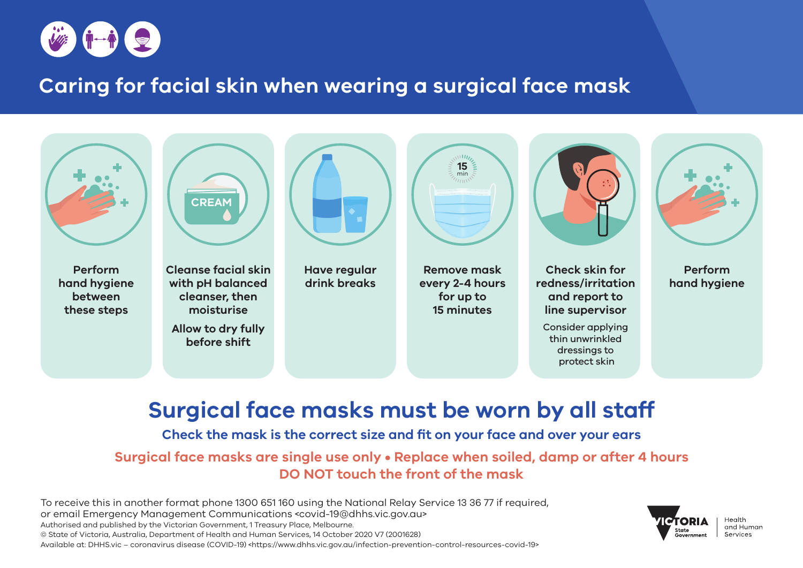

## **Caring for facial skin when wearing a surgical face mask**



# **Surgical face masks must be worn by all staff**

#### **Check the mask is the correct size and fit on your face and over your ears**

**Surgical face masks are single use only • Replace when soiled, damp or after 4 hours DO NOT touch the front of the mask**

To receive this in another format phone 1300 651 160 using the National Relay Service 13 36 77 if required, or email Emergency Management Communications <covid-19@dhhs.vic.gov.au> Authorised and published by the Victorian Government, 1 Treasury Place, Melbourne. © State of Victoria, Australia, Department of Health and Human Services, 14 October 2020 V7 (2001628) Available at: DHHS.vic – coronavirus disease (COVID-19) <https://www.dhhs.vic.gov.au/infection-prevention-control-resources-covid-19>

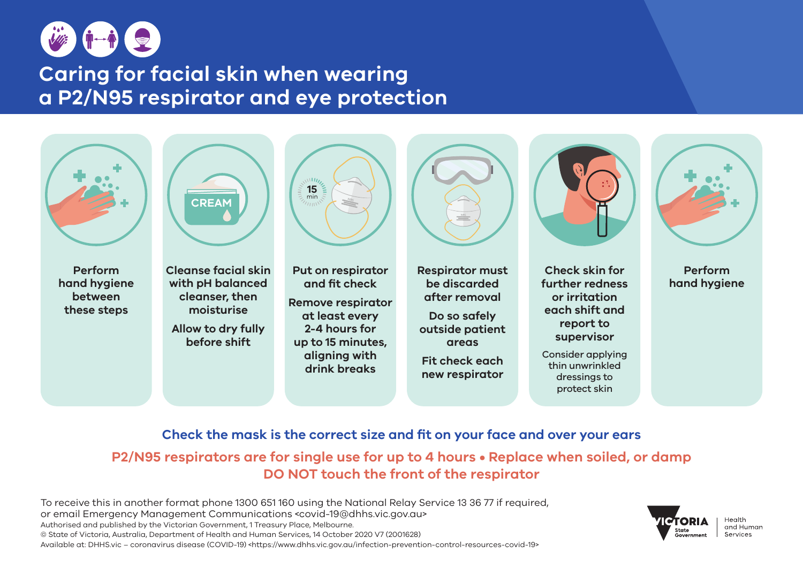

## **Caring for facial skin when wearing a P2/N95 respirator and eye protection**



### **Check the mask is the correct size and fit on your face and over your ears**

**P2/N95 respirators are for single use for up to 4 hours • Replace when soiled, or damp DO NOT touch the front of the respirator**

To receive this in another format phone 1300 651 160 using the National Relay Service 13 36 77 if required, or email Emergency Management Communications <covid-19@dhhs.vic.gov.au> Authorised and published by the Victorian Government, 1 Treasury Place, Melbourne. © State of Victoria, Australia, Department of Health and Human Services, 14 October 2020 V7 (2001628) Available at: DHHS.vic – coronavirus disease (COVID-19) <https://www.dhhs.vic.gov.au/infection-prevention-control-resources-covid-19>